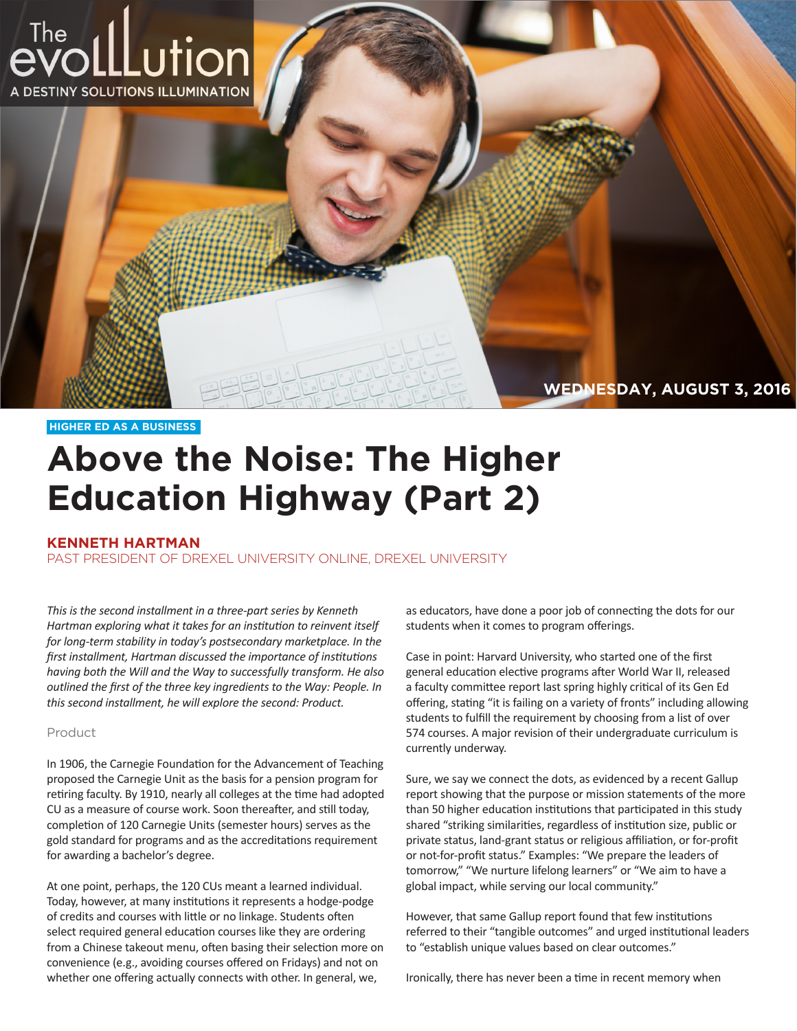

## **HIGHER ED AS A BUSINESS**

## **Above the Noise: The Higher Education Highway (Part 2)**

## **KENNETH HARTMAN**

PAST PRESIDENT OF DREXEL UNIVERSITY ONLINE, DREXEL UNIVERSITY

*This is the second installment in a three-part series by Kenneth Hartman exploring what it takes for an institution to reinvent itself for long-term stability in today's postsecondary marketplace. In the first installment, Hartman discussed the importance of institutions having both the Will and the Way to successfully transform. He also outlined the first of the three key ingredients to the Way: People. In this second installment, he will explore the second: Product.*

## Product

In 1906, the Carnegie Foundation for the Advancement of Teaching proposed the Carnegie Unit as the basis for a pension program for retiring faculty. By 1910, nearly all colleges at the time had adopted CU as a measure of course work. Soon thereafter, and still today, completion of 120 Carnegie Units (semester hours) serves as the gold standard for programs and as the accreditations requirement for awarding a bachelor's degree.

At one point, perhaps, the 120 CUs meant a learned individual. Today, however, at many institutions it represents a hodge-podge of credits and courses with little or no linkage. Students often select required general education courses like they are ordering from a Chinese takeout menu, often basing their selection more on convenience (e.g., avoiding courses offered on Fridays) and not on whether one offering actually connects with other. In general, we,

as educators, have done a poor job of connecting the dots for our students when it comes to program offerings.

Case in point: Harvard University, who started one of the first general education elective programs after World War II, released a faculty committee report last spring highly critical of its Gen Ed offering, stating "it is failing on a variety of fronts" including allowing students to fulfill the requirement by choosing from a list of over 574 courses. A major revision of their undergraduate curriculum is currently underway.

Sure, we say we connect the dots, as evidenced by a recent Gallup report showing that the purpose or mission statements of the more than 50 higher education institutions that participated in this study shared "striking similarities, regardless of institution size, public or private status, land-grant status or religious affiliation, or for-profit or not-for-profit status." Examples: "We prepare the leaders of tomorrow," "We nurture lifelong learners" or "We aim to have a global impact, while serving our local community."

However, that same Gallup report found that few institutions referred to their "tangible outcomes" and urged institutional leaders to "establish unique values based on clear outcomes."

Ironically, there has never been a time in recent memory when